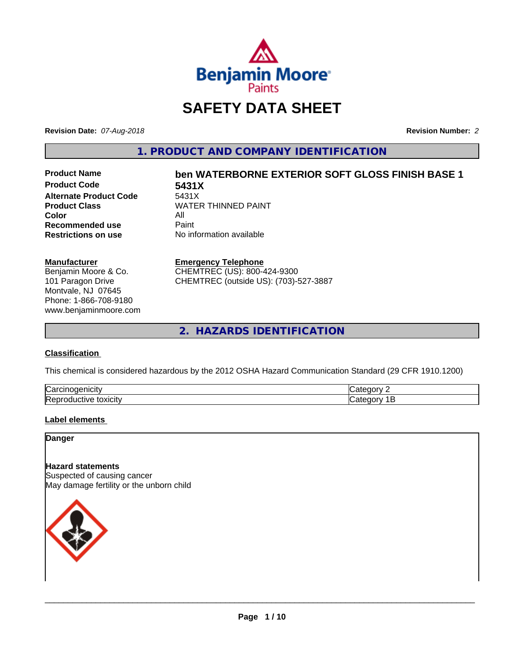

## **SAFETY DATA SHEET**

**Revision Date:** *07-Aug-2018* **Revision Number:** *2*

**1. PRODUCT AND COMPANY IDENTIFICATION**

**Product Code 5431X Alternate Product Code**<br>Product Class **Color** All<br> **Recommended use** Paint **Recommended use**<br>Restrictions on use

# **Product Name ben WATERBORNE EXTERIOR SOFT GLOSS FINISH BASE 1**

**WATER THINNED PAINT No information available** 

#### **Manufacturer**

Benjamin Moore & Co. 101 Paragon Drive Montvale, NJ 07645 Phone: 1-866-708-9180 www.benjaminmoore.com

#### **Emergency Telephone**

CHEMTREC (US): 800-424-9300 CHEMTREC (outside US): (703)-527-3887

**2. HAZARDS IDENTIFICATION**

#### **Classification**

This chemical is considered hazardous by the 2012 OSHA Hazard Communication Standard (29 CFR 1910.1200)

| ⌒<br>/Car<br>110       | "<br>$  -$ |
|------------------------|------------|
| lRer<br>.<br>- XICIIV. | $\epsilon$ |

#### **Label elements**

**Danger**

#### **Hazard statements**

Suspected of causing cancer May damage fertility or the unborn child

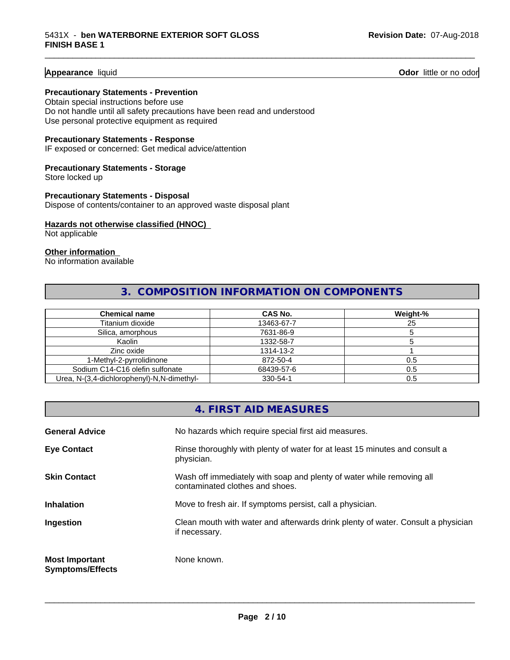**Appearance** liquid **Odor 11** Odor little or no odor

#### **Precautionary Statements - Prevention**

Obtain special instructions before use Do not handle until all safety precautions have been read and understood Use personal protective equipment as required

#### **Precautionary Statements - Response**

IF exposed or concerned: Get medical advice/attention

#### **Precautionary Statements - Storage**

Store locked up

#### **Precautionary Statements - Disposal** Dispose of contents/container to an approved waste disposal plant

#### **Hazards not otherwise classified (HNOC)**

Not applicable

#### **Other information**

No information available

#### **3. COMPOSITION INFORMATION ON COMPONENTS**

\_\_\_\_\_\_\_\_\_\_\_\_\_\_\_\_\_\_\_\_\_\_\_\_\_\_\_\_\_\_\_\_\_\_\_\_\_\_\_\_\_\_\_\_\_\_\_\_\_\_\_\_\_\_\_\_\_\_\_\_\_\_\_\_\_\_\_\_\_\_\_\_\_\_\_\_\_\_\_\_\_\_\_\_\_\_\_\_\_\_\_\_\_

| <b>Chemical name</b>                       | <b>CAS No.</b> | Weight-% |
|--------------------------------------------|----------------|----------|
| Titanium dioxide                           | 13463-67-7     | 25       |
| Silica, amorphous                          | 7631-86-9      |          |
| Kaolin                                     | 1332-58-7      |          |
| Zinc oxide                                 | 1314-13-2      |          |
| 1-Methyl-2-pyrrolidinone                   | 872-50-4       | 0.5      |
| Sodium C14-C16 olefin sulfonate            | 68439-57-6     | 0.5      |
| Urea, N-(3,4-dichlorophenyl)-N,N-dimethyl- | 330-54-1       | 0.5      |

|                                                  | 4. FIRST AID MEASURES                                                                                    |
|--------------------------------------------------|----------------------------------------------------------------------------------------------------------|
| <b>General Advice</b>                            | No hazards which require special first aid measures.                                                     |
| <b>Eye Contact</b>                               | Rinse thoroughly with plenty of water for at least 15 minutes and consult a<br>physician.                |
| <b>Skin Contact</b>                              | Wash off immediately with soap and plenty of water while removing all<br>contaminated clothes and shoes. |
| <b>Inhalation</b>                                | Move to fresh air. If symptoms persist, call a physician.                                                |
| Ingestion                                        | Clean mouth with water and afterwards drink plenty of water. Consult a physician<br>if necessary.        |
| <b>Most Important</b><br><b>Symptoms/Effects</b> | None known.                                                                                              |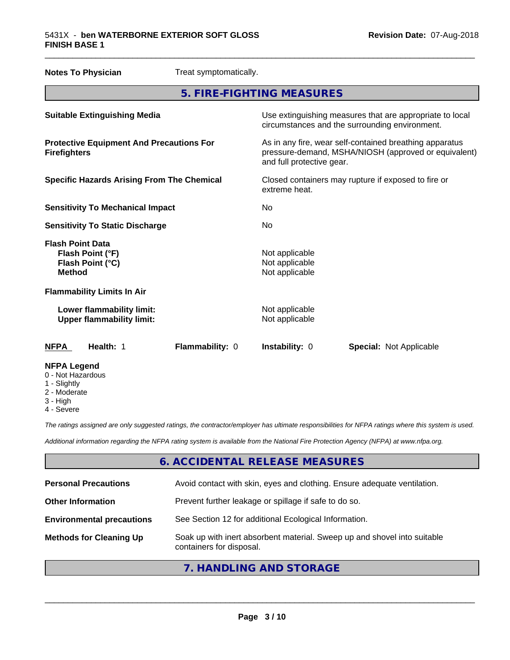| <b>Notes To Physician</b>                                                        | Treat symptomatically. |                                                                                                            |  |                                                                                                                 |  |
|----------------------------------------------------------------------------------|------------------------|------------------------------------------------------------------------------------------------------------|--|-----------------------------------------------------------------------------------------------------------------|--|
|                                                                                  |                        | 5. FIRE-FIGHTING MEASURES                                                                                  |  |                                                                                                                 |  |
| <b>Suitable Extinguishing Media</b>                                              |                        | Use extinguishing measures that are appropriate to local<br>circumstances and the surrounding environment. |  |                                                                                                                 |  |
| <b>Protective Equipment And Precautions For</b><br><b>Firefighters</b>           |                        | and full protective gear.                                                                                  |  | As in any fire, wear self-contained breathing apparatus<br>pressure-demand, MSHA/NIOSH (approved or equivalent) |  |
| <b>Specific Hazards Arising From The Chemical</b>                                |                        | Closed containers may rupture if exposed to fire or<br>extreme heat.                                       |  |                                                                                                                 |  |
| <b>Sensitivity To Mechanical Impact</b>                                          |                        | No                                                                                                         |  |                                                                                                                 |  |
| <b>Sensitivity To Static Discharge</b>                                           |                        | No                                                                                                         |  |                                                                                                                 |  |
| <b>Flash Point Data</b><br>Flash Point (°F)<br>Flash Point (°C)<br><b>Method</b> |                        | Not applicable<br>Not applicable<br>Not applicable                                                         |  |                                                                                                                 |  |
| <b>Flammability Limits In Air</b>                                                |                        |                                                                                                            |  |                                                                                                                 |  |
| Lower flammability limit:<br><b>Upper flammability limit:</b>                    |                        | Not applicable<br>Not applicable                                                                           |  |                                                                                                                 |  |
| <b>NFPA</b><br>Health: 1                                                         | Flammability: 0        | Instability: 0                                                                                             |  | <b>Special: Not Applicable</b>                                                                                  |  |
| <b>NFPA Legend</b><br>0 - Not Hazardous<br>1 - Slightly                          |                        |                                                                                                            |  |                                                                                                                 |  |

\_\_\_\_\_\_\_\_\_\_\_\_\_\_\_\_\_\_\_\_\_\_\_\_\_\_\_\_\_\_\_\_\_\_\_\_\_\_\_\_\_\_\_\_\_\_\_\_\_\_\_\_\_\_\_\_\_\_\_\_\_\_\_\_\_\_\_\_\_\_\_\_\_\_\_\_\_\_\_\_\_\_\_\_\_\_\_\_\_\_\_\_\_

- Slightly
- 2 Moderate
- 3 High
- 4 Severe

*The ratings assigned are only suggested ratings, the contractor/employer has ultimate responsibilities for NFPA ratings where this system is used.*

*Additional information regarding the NFPA rating system is available from the National Fire Protection Agency (NFPA) at www.nfpa.org.*

#### **6. ACCIDENTAL RELEASE MEASURES**

| <b>Personal Precautions</b>      | Avoid contact with skin, eyes and clothing. Ensure adequate ventilation.                             |
|----------------------------------|------------------------------------------------------------------------------------------------------|
| <b>Other Information</b>         | Prevent further leakage or spillage if safe to do so.                                                |
| <b>Environmental precautions</b> | See Section 12 for additional Ecological Information.                                                |
| <b>Methods for Cleaning Up</b>   | Soak up with inert absorbent material. Sweep up and shovel into suitable<br>containers for disposal. |
|                                  |                                                                                                      |

#### **7. HANDLING AND STORAGE**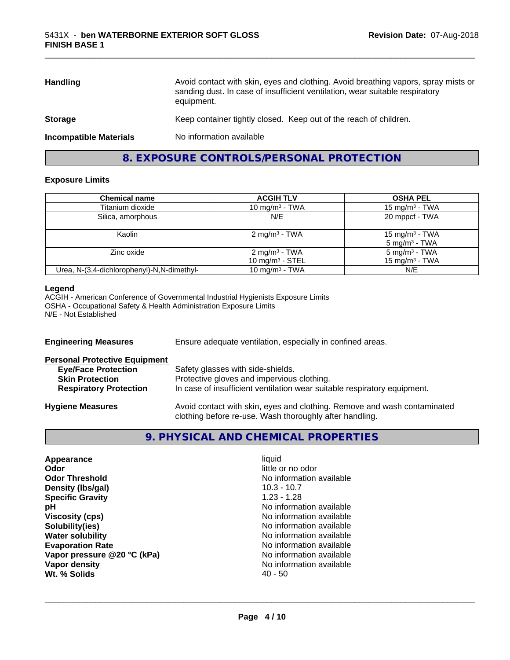| <b>Handling</b>               | Avoid contact with skin, eyes and clothing. Avoid breathing vapors, spray mists or<br>sanding dust. In case of insufficient ventilation, wear suitable respiratory<br>equipment. |  |
|-------------------------------|----------------------------------------------------------------------------------------------------------------------------------------------------------------------------------|--|
| <b>Storage</b>                | Keep container tightly closed. Keep out of the reach of children.                                                                                                                |  |
| <b>Incompatible Materials</b> | No information available                                                                                                                                                         |  |

\_\_\_\_\_\_\_\_\_\_\_\_\_\_\_\_\_\_\_\_\_\_\_\_\_\_\_\_\_\_\_\_\_\_\_\_\_\_\_\_\_\_\_\_\_\_\_\_\_\_\_\_\_\_\_\_\_\_\_\_\_\_\_\_\_\_\_\_\_\_\_\_\_\_\_\_\_\_\_\_\_\_\_\_\_\_\_\_\_\_\_\_\_

#### **8. EXPOSURE CONTROLS/PERSONAL PROTECTION**

#### **Exposure Limits**

| <b>Chemical name</b>                       | <b>ACGIH TLV</b>                                | <b>OSHA PEL</b>                               |
|--------------------------------------------|-------------------------------------------------|-----------------------------------------------|
| Titanium dioxide                           | 10 mg/m $3$ - TWA                               | 15 mg/m <sup>3</sup> - TWA                    |
| Silica, amorphous                          | N/E                                             | 20 mppcf - TWA                                |
| Kaolin                                     | $2 \text{ mg/m}^3$ - TWA                        | 15 mg/m $3$ - TWA<br>$5 \text{ mg/m}^3$ - TWA |
| Zinc oxide                                 | 2 mg/m <sup>3</sup> - TWA<br>10 mg/m $3 -$ STEL | $5 \text{ mg/m}^3$ - TWA<br>15 mg/m $3$ - TWA |
| Urea, N-(3,4-dichlorophenyl)-N,N-dimethyl- | 10 mg/m <sup>3</sup> - TWA                      | N/E                                           |

#### **Legend**

ACGIH - American Conference of Governmental Industrial Hygienists Exposure Limits OSHA - Occupational Safety & Health Administration Exposure Limits N/E - Not Established

| <b>Engineering Measures</b>          | Ensure adequate ventilation, especially in confined areas.                                                                          |  |  |
|--------------------------------------|-------------------------------------------------------------------------------------------------------------------------------------|--|--|
| <b>Personal Protective Equipment</b> |                                                                                                                                     |  |  |
| <b>Eye/Face Protection</b>           | Safety glasses with side-shields.                                                                                                   |  |  |
| <b>Skin Protection</b>               | Protective gloves and impervious clothing.                                                                                          |  |  |
| <b>Respiratory Protection</b>        | In case of insufficient ventilation wear suitable respiratory equipment.                                                            |  |  |
| <b>Hygiene Measures</b>              | Avoid contact with skin, eyes and clothing. Remove and wash contaminated<br>clothing before re-use. Wash thoroughly after handling. |  |  |

#### **9. PHYSICAL AND CHEMICAL PROPERTIES**

| Appearance                  | liquid                   |
|-----------------------------|--------------------------|
| Odor                        | little or no odor        |
| <b>Odor Threshold</b>       | No information available |
| Density (Ibs/gal)           | $10.3 - 10.7$            |
| <b>Specific Gravity</b>     | $1.23 - 1.28$            |
| рH                          | No information available |
| <b>Viscosity (cps)</b>      | No information available |
| Solubility(ies)             | No information available |
| <b>Water solubility</b>     | No information available |
| <b>Evaporation Rate</b>     | No information available |
| Vapor pressure @20 °C (kPa) | No information available |
| Vapor density               | No information available |
| Wt. % Solids                | $40 - 50$                |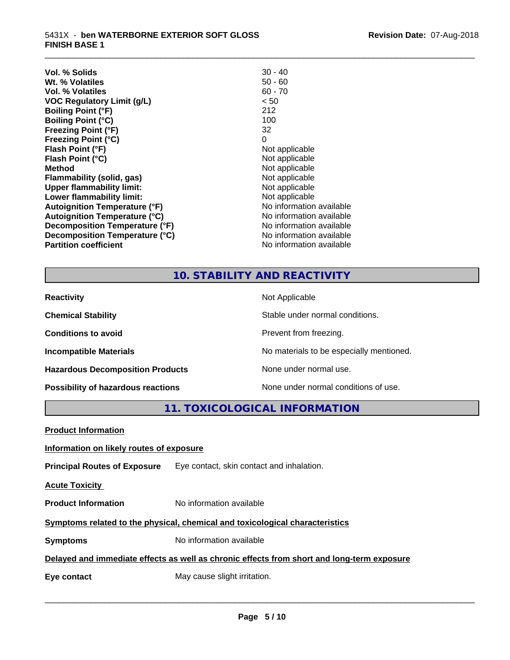| Vol. % Solids                        | $30 - 40$                |
|--------------------------------------|--------------------------|
| Wt. % Volatiles                      | $50 - 60$                |
| Vol. % Volatiles                     | $60 - 70$                |
| <b>VOC Regulatory Limit (g/L)</b>    | < 50                     |
| <b>Boiling Point (°F)</b>            | 212                      |
| <b>Boiling Point (°C)</b>            | 100                      |
| <b>Freezing Point (°F)</b>           | 32                       |
| <b>Freezing Point (°C)</b>           | 0                        |
| Flash Point (°F)                     | Not applicable           |
| Flash Point (°C)                     | Not applicable           |
| <b>Method</b>                        | Not applicable           |
| Flammability (solid, gas)            | Not applicable           |
| <b>Upper flammability limit:</b>     | Not applicable           |
| Lower flammability limit:            | Not applicable           |
| <b>Autoignition Temperature (°F)</b> | No information available |
| <b>Autoignition Temperature (°C)</b> | No information available |
| Decomposition Temperature (°F)       | No information available |
| Decomposition Temperature (°C)       | No information available |
| <b>Partition coefficient</b>         | No information available |
|                                      |                          |

### **10. STABILITY AND REACTIVITY**

\_\_\_\_\_\_\_\_\_\_\_\_\_\_\_\_\_\_\_\_\_\_\_\_\_\_\_\_\_\_\_\_\_\_\_\_\_\_\_\_\_\_\_\_\_\_\_\_\_\_\_\_\_\_\_\_\_\_\_\_\_\_\_\_\_\_\_\_\_\_\_\_\_\_\_\_\_\_\_\_\_\_\_\_\_\_\_\_\_\_\_\_\_

| <b>Reactivity</b>                         | Not Applicable                           |
|-------------------------------------------|------------------------------------------|
| <b>Chemical Stability</b>                 | Stable under normal conditions.          |
| <b>Conditions to avoid</b>                | Prevent from freezing.                   |
| <b>Incompatible Materials</b>             | No materials to be especially mentioned. |
| <b>Hazardous Decomposition Products</b>   | None under normal use.                   |
| <b>Possibility of hazardous reactions</b> | None under normal conditions of use.     |

**11. TOXICOLOGICAL INFORMATION**

| <b>Product Information</b>                                                                 |                                                                               |  |  |
|--------------------------------------------------------------------------------------------|-------------------------------------------------------------------------------|--|--|
| Information on likely routes of exposure                                                   |                                                                               |  |  |
|                                                                                            | <b>Principal Routes of Exposure</b> Eye contact, skin contact and inhalation. |  |  |
| <b>Acute Toxicity</b>                                                                      |                                                                               |  |  |
| <b>Product Information</b>                                                                 | No information available                                                      |  |  |
| Symptoms related to the physical, chemical and toxicological characteristics               |                                                                               |  |  |
| <b>Symptoms</b>                                                                            | No information available                                                      |  |  |
| Delayed and immediate effects as well as chronic effects from short and long-term exposure |                                                                               |  |  |
| Eye contact                                                                                | May cause slight irritation.                                                  |  |  |
|                                                                                            |                                                                               |  |  |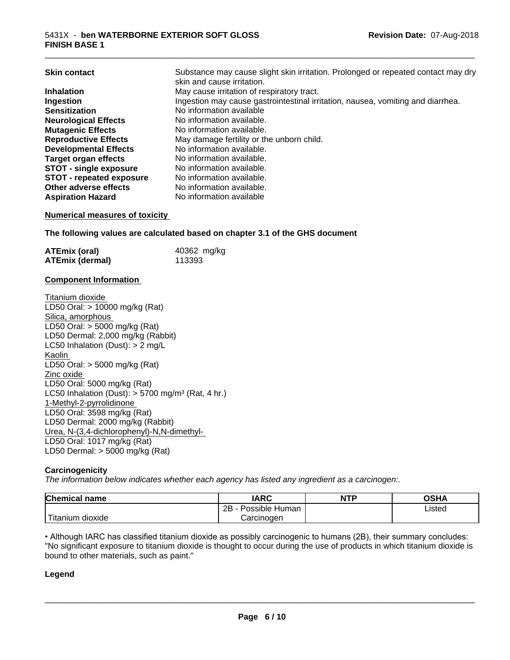| <b>Skin contact</b>             | Substance may cause slight skin irritation. Prolonged or repeated contact may dry<br>skin and cause irritation. |
|---------------------------------|-----------------------------------------------------------------------------------------------------------------|
| <b>Inhalation</b>               | May cause irritation of respiratory tract.                                                                      |
| Ingestion                       | Ingestion may cause gastrointestinal irritation, nausea, vomiting and diarrhea.                                 |
| <b>Sensitization</b>            | No information available                                                                                        |
| <b>Neurological Effects</b>     | No information available.                                                                                       |
| <b>Mutagenic Effects</b>        | No information available.                                                                                       |
| <b>Reproductive Effects</b>     | May damage fertility or the unborn child.                                                                       |
| <b>Developmental Effects</b>    | No information available.                                                                                       |
| <b>Target organ effects</b>     | No information available.                                                                                       |
| <b>STOT - single exposure</b>   | No information available.                                                                                       |
| <b>STOT - repeated exposure</b> | No information available.                                                                                       |
| Other adverse effects           | No information available.                                                                                       |
| <b>Aspiration Hazard</b>        | No information available                                                                                        |

#### **Numerical measures of toxicity**

**The following values are calculated based on chapter 3.1 of the GHS document**

| <b>ATEmix (oral)</b> | 40362 mg/kg |
|----------------------|-------------|
| ATEmix (dermal)      | 113393      |

#### **Component Information**

Titanium dioxide LD50 Oral: > 10000 mg/kg (Rat) Silica, amorphous LD50 Oral: > 5000 mg/kg (Rat) LD50 Dermal: 2,000 mg/kg (Rabbit) LC50 Inhalation (Dust): > 2 mg/L Kaolin LD50 Oral: > 5000 mg/kg (Rat) Zinc oxide LD50 Oral: 5000 mg/kg (Rat) LC50 Inhalation (Dust):  $> 5700$  mg/m<sup>3</sup> (Rat, 4 hr.) 1-Methyl-2-pyrrolidinone LD50 Oral: 3598 mg/kg (Rat) LD50 Dermal: 2000 mg/kg (Rabbit) Urea, N-(3,4-dichlorophenyl)-N,N-dimethyl- LD50 Oral: 1017 mg/kg (Rat) LD50 Dermal: > 5000 mg/kg (Rat)

#### **Carcinogenicity**

*The information below indicateswhether each agency has listed any ingredient as a carcinogen:.*

| Chemical<br>name       | <b>IARC</b>                  | <b>NTP</b> | OSHA   |
|------------------------|------------------------------|------------|--------|
|                        | .<br>2B<br>Possible<br>Human |            | ∟isted |
| n dioxide<br>l itanıum | Carcinoɑen                   |            |        |

• Although IARC has classified titanium dioxide as possibly carcinogenic to humans (2B), their summary concludes: "No significant exposure to titanium dioxide is thought to occur during the use of products in which titanium dioxide is bound to other materials, such as paint."

#### **Legend**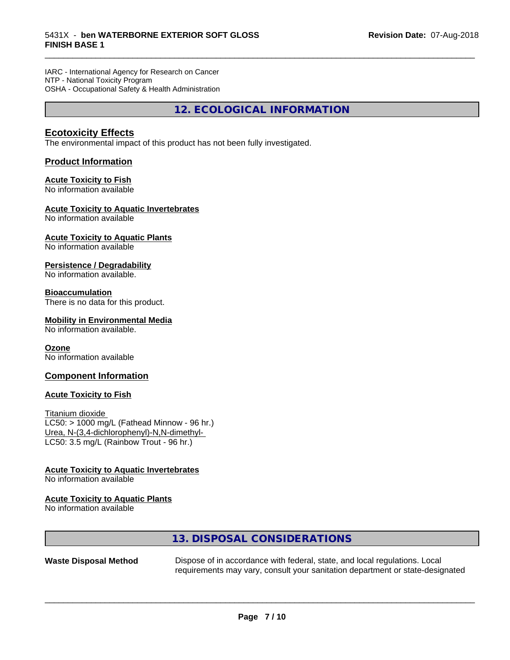IARC - International Agency for Research on Cancer NTP - National Toxicity Program OSHA - Occupational Safety & Health Administration

**12. ECOLOGICAL INFORMATION**

\_\_\_\_\_\_\_\_\_\_\_\_\_\_\_\_\_\_\_\_\_\_\_\_\_\_\_\_\_\_\_\_\_\_\_\_\_\_\_\_\_\_\_\_\_\_\_\_\_\_\_\_\_\_\_\_\_\_\_\_\_\_\_\_\_\_\_\_\_\_\_\_\_\_\_\_\_\_\_\_\_\_\_\_\_\_\_\_\_\_\_\_\_

#### **Ecotoxicity Effects**

The environmental impact of this product has not been fully investigated.

#### **Product Information**

#### **Acute Toxicity to Fish**

No information available

#### **Acute Toxicity to Aquatic Invertebrates**

No information available

#### **Acute Toxicity to Aquatic Plants**

No information available

#### **Persistence / Degradability**

No information available.

#### **Bioaccumulation**

There is no data for this product.

#### **Mobility in Environmental Media**

No information available.

#### **Ozone**

No information available

#### **Component Information**

#### **Acute Toxicity to Fish**

Titanium dioxide  $LC50:$  > 1000 mg/L (Fathead Minnow - 96 hr.) Urea, N-(3,4-dichlorophenyl)-N,N-dimethyl- LC50: 3.5 mg/L (Rainbow Trout - 96 hr.)

#### **Acute Toxicity to Aquatic Invertebrates**

No information available

#### **Acute Toxicity to Aquatic Plants**

No information available

#### **13. DISPOSAL CONSIDERATIONS**

**Waste Disposal Method** Dispose of in accordance with federal, state, and local regulations. Local requirements may vary, consult your sanitation department or state-designated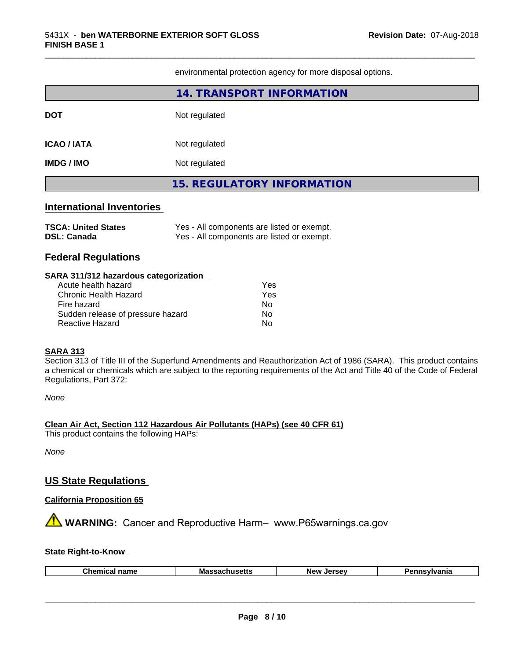environmental protection agency for more disposal options.

\_\_\_\_\_\_\_\_\_\_\_\_\_\_\_\_\_\_\_\_\_\_\_\_\_\_\_\_\_\_\_\_\_\_\_\_\_\_\_\_\_\_\_\_\_\_\_\_\_\_\_\_\_\_\_\_\_\_\_\_\_\_\_\_\_\_\_\_\_\_\_\_\_\_\_\_\_\_\_\_\_\_\_\_\_\_\_\_\_\_\_\_\_

|                                                                                                                                                                                                       | 14. TRANSPORT INFORMATION                                                                |  |  |
|-------------------------------------------------------------------------------------------------------------------------------------------------------------------------------------------------------|------------------------------------------------------------------------------------------|--|--|
| <b>DOT</b>                                                                                                                                                                                            | Not regulated                                                                            |  |  |
| <b>ICAO / IATA</b>                                                                                                                                                                                    | Not regulated                                                                            |  |  |
| <b>IMDG / IMO</b>                                                                                                                                                                                     | Not regulated                                                                            |  |  |
|                                                                                                                                                                                                       | <b>15. REGULATORY INFORMATION</b>                                                        |  |  |
| <b>International Inventories</b>                                                                                                                                                                      |                                                                                          |  |  |
| <b>TSCA: United States</b><br><b>DSL: Canada</b>                                                                                                                                                      | Yes - All components are listed or exempt.<br>Yes - All components are listed or exempt. |  |  |
| <b>Federal Regulations</b>                                                                                                                                                                            |                                                                                          |  |  |
| SARA 311/312 hazardous categorization<br>Acute health hazard<br>Yes<br><b>Chronic Health Hazard</b><br>Yes<br>Fire hazard<br>No.<br>Sudden release of pressure hazard<br>No.<br>Reactive Hazard<br>No |                                                                                          |  |  |

#### **SARA 313**

Section 313 of Title III of the Superfund Amendments and Reauthorization Act of 1986 (SARA). This product contains a chemical or chemicals which are subject to the reporting requirements of the Act and Title 40 of the Code of Federal Regulations, Part 372:

*None*

#### **Clean Air Act,Section 112 Hazardous Air Pollutants (HAPs) (see 40 CFR 61)**

This product contains the following HAPs:

*None*

#### **US State Regulations**

#### **California Proposition 65**

**AVIMARNING:** Cancer and Reproductive Harm– www.P65warnings.ca.gov

#### **State Right-to-Know**

|--|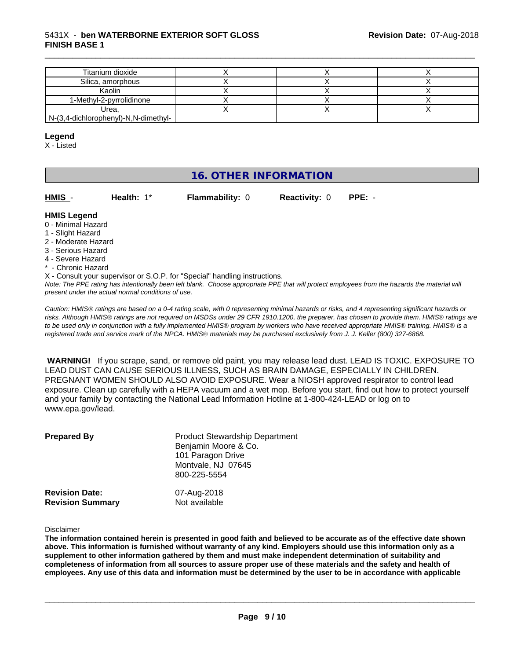#### 5431X - **ben WATERBORNE EXTERIOR SOFT GLOSS FINISH BASE 1**

| Titanium dioxide                     |  |  |
|--------------------------------------|--|--|
| Silica, amorphous                    |  |  |
| Kaolin                               |  |  |
| 1-Methyl-2-pyrrolidinone             |  |  |
| Urea,                                |  |  |
| N-(3,4-dichlorophenyl)-N,N-dimethyl- |  |  |

\_\_\_\_\_\_\_\_\_\_\_\_\_\_\_\_\_\_\_\_\_\_\_\_\_\_\_\_\_\_\_\_\_\_\_\_\_\_\_\_\_\_\_\_\_\_\_\_\_\_\_\_\_\_\_\_\_\_\_\_\_\_\_\_\_\_\_\_\_\_\_\_\_\_\_\_\_\_\_\_\_\_\_\_\_\_\_\_\_\_\_\_\_

#### **Legend**

X - Listed

#### **16. OTHER INFORMATION**

| HMIS         | Health: $1^*$ | <b>Flammability: 0</b> | <b>Reactivity: 0</b> | $PPE: -$ |
|--------------|---------------|------------------------|----------------------|----------|
| hanan I 21MH |               |                        |                      |          |

- **HMIS Legend** 0 - Minimal Hazard
- 1 Slight Hazard
- 2 Moderate Hazard
- 3 Serious Hazard
- 4 Severe Hazard
- \* Chronic Hazard
- X Consult your supervisor or S.O.P. for "Special" handling instructions.

*Note: The PPE rating has intentionally been left blank. Choose appropriate PPE that will protect employees from the hazards the material will present under the actual normal conditions of use.*

*Caution: HMISÒ ratings are based on a 0-4 rating scale, with 0 representing minimal hazards or risks, and 4 representing significant hazards or risks. Although HMISÒ ratings are not required on MSDSs under 29 CFR 1910.1200, the preparer, has chosen to provide them. HMISÒ ratings are to be used only in conjunction with a fully implemented HMISÒ program by workers who have received appropriate HMISÒ training. HMISÒ is a registered trade and service mark of the NPCA. HMISÒ materials may be purchased exclusively from J. J. Keller (800) 327-6868.*

 **WARNING!** If you scrape, sand, or remove old paint, you may release lead dust. LEAD IS TOXIC. EXPOSURE TO LEAD DUST CAN CAUSE SERIOUS ILLNESS, SUCH AS BRAIN DAMAGE, ESPECIALLY IN CHILDREN. PREGNANT WOMEN SHOULD ALSO AVOID EXPOSURE.Wear a NIOSH approved respirator to control lead exposure. Clean up carefully with a HEPA vacuum and a wet mop. Before you start, find out how to protect yourself and your family by contacting the National Lead Information Hotline at 1-800-424-LEAD or log on to www.epa.gov/lead.

| <b>Prepared By</b>      | <b>Product Stewardship Department</b><br>Benjamin Moore & Co.<br>101 Paragon Drive<br>Montvale, NJ 07645<br>800-225-5554 |
|-------------------------|--------------------------------------------------------------------------------------------------------------------------|
| <b>Revision Date:</b>   | 07-Aug-2018                                                                                                              |
| <b>Revision Summary</b> | Not available                                                                                                            |

#### Disclaimer

The information contained herein is presented in good faith and believed to be accurate as of the effective date shown above. This information is furnished without warranty of any kind. Employers should use this information only as a **supplement to other information gathered by them and must make independent determination of suitability and** completeness of information from all sources to assure proper use of these materials and the safety and health of employees. Any use of this data and information must be determined by the user to be in accordance with applicable